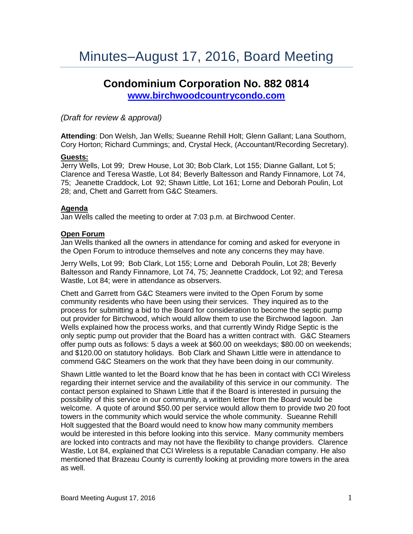# **Condominium Corporation No. 882 0814 [www.birchwoodcountrycondo.com](http://www.birchwoodcountrycondo.com/)**

# *(Draft for review & approval)*

**Attending**: Don Welsh, Jan Wells; Sueanne Rehill Holt; Glenn Gallant; Lana Southorn, Cory Horton; Richard Cummings; and, Crystal Heck, (Accountant/Recording Secretary).

# **Guests:**

Jerry Wells, Lot 99; Drew House, Lot 30; Bob Clark, Lot 155; Dianne Gallant, Lot 5; Clarence and Teresa Wastle, Lot 84; Beverly Baltesson and Randy Finnamore, Lot 74, 75; Jeanette Craddock, Lot 92; Shawn Little, Lot 161; Lorne and Deborah Poulin, Lot 28; and, Chett and Garrett from G&C Steamers.

# **Agenda**

Jan Wells called the meeting to order at 7:03 p.m. at Birchwood Center.

# **Open Forum**

Jan Wells thanked all the owners in attendance for coming and asked for everyone in the Open Forum to introduce themselves and note any concerns they may have.

Jerry Wells, Lot 99; Bob Clark, Lot 155; Lorne and Deborah Poulin, Lot 28; Beverly Baltesson and Randy Finnamore, Lot 74, 75; Jeannette Craddock, Lot 92; and Teresa Wastle, Lot 84; were in attendance as observers.

Chett and Garrett from G&C Steamers were invited to the Open Forum by some community residents who have been using their services. They inquired as to the process for submitting a bid to the Board for consideration to become the septic pump out provider for Birchwood, which would allow them to use the Birchwood lagoon. Jan Wells explained how the process works, and that currently Windy Ridge Septic is the only septic pump out provider that the Board has a written contract with. G&C Steamers offer pump outs as follows: 5 days a week at \$60.00 on weekdays; \$80.00 on weekends; and \$120.00 on statutory holidays. Bob Clark and Shawn Little were in attendance to commend G&C Steamers on the work that they have been doing in our community.

Shawn Little wanted to let the Board know that he has been in contact with CCI Wireless regarding their internet service and the availability of this service in our community. The contact person explained to Shawn Little that if the Board is interested in pursuing the possibility of this service in our community, a written letter from the Board would be welcome. A quote of around \$50.00 per service would allow them to provide two 20 foot towers in the community which would service the whole community. Sueanne Rehill Holt suggested that the Board would need to know how many community members would be interested in this before looking into this service. Many community members are locked into contracts and may not have the flexibility to change providers. Clarence Wastle, Lot 84, explained that CCI Wireless is a reputable Canadian company. He also mentioned that Brazeau County is currently looking at providing more towers in the area as well.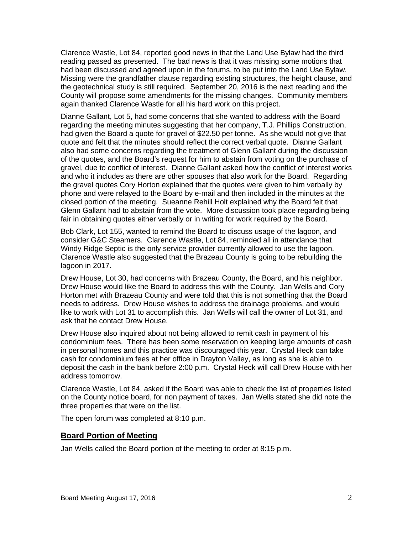Clarence Wastle, Lot 84, reported good news in that the Land Use Bylaw had the third reading passed as presented. The bad news is that it was missing some motions that had been discussed and agreed upon in the forums, to be put into the Land Use Bylaw. Missing were the grandfather clause regarding existing structures, the height clause, and the geotechnical study is still required. September 20, 2016 is the next reading and the County will propose some amendments for the missing changes. Community members again thanked Clarence Wastle for all his hard work on this project.

Dianne Gallant, Lot 5, had some concerns that she wanted to address with the Board regarding the meeting minutes suggesting that her company, T.J. Phillips Construction, had given the Board a quote for gravel of \$22.50 per tonne. As she would not give that quote and felt that the minutes should reflect the correct verbal quote. Dianne Gallant also had some concerns regarding the treatment of Glenn Gallant during the discussion of the quotes, and the Board's request for him to abstain from voting on the purchase of gravel, due to conflict of interest. Dianne Gallant asked how the conflict of interest works and who it includes as there are other spouses that also work for the Board. Regarding the gravel quotes Cory Horton explained that the quotes were given to him verbally by phone and were relayed to the Board by e-mail and then included in the minutes at the closed portion of the meeting. Sueanne Rehill Holt explained why the Board felt that Glenn Gallant had to abstain from the vote. More discussion took place regarding being fair in obtaining quotes either verbally or in writing for work required by the Board.

Bob Clark, Lot 155, wanted to remind the Board to discuss usage of the lagoon, and consider G&C Steamers. Clarence Wastle, Lot 84, reminded all in attendance that Windy Ridge Septic is the only service provider currently allowed to use the lagoon. Clarence Wastle also suggested that the Brazeau County is going to be rebuilding the lagoon in 2017.

Drew House, Lot 30, had concerns with Brazeau County, the Board, and his neighbor. Drew House would like the Board to address this with the County. Jan Wells and Cory Horton met with Brazeau County and were told that this is not something that the Board needs to address. Drew House wishes to address the drainage problems, and would like to work with Lot 31 to accomplish this. Jan Wells will call the owner of Lot 31, and ask that he contact Drew House.

Drew House also inquired about not being allowed to remit cash in payment of his condominium fees. There has been some reservation on keeping large amounts of cash in personal homes and this practice was discouraged this year. Crystal Heck can take cash for condominium fees at her office in Drayton Valley, as long as she is able to deposit the cash in the bank before 2:00 p.m. Crystal Heck will call Drew House with her address tomorrow.

Clarence Wastle, Lot 84, asked if the Board was able to check the list of properties listed on the County notice board, for non payment of taxes. Jan Wells stated she did note the three properties that were on the list.

The open forum was completed at 8:10 p.m.

# **Board Portion of Meeting**

Jan Wells called the Board portion of the meeting to order at 8:15 p.m.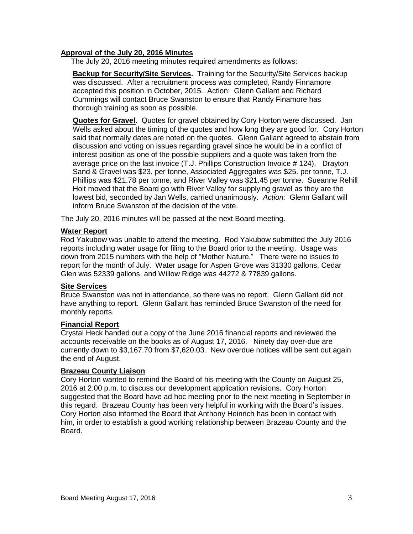## **Approval of the July 20, 2016 Minutes**

The July 20, 2016 meeting minutes required amendments as follows:

**Backup for Security/Site Services.** Training for the Security/Site Services backup was discussed. After a recruitment process was completed, Randy Finnamore accepted this position in October, 2015. Action: Glenn Gallant and Richard Cummings will contact Bruce Swanston to ensure that Randy Finamore has thorough training as soon as possible.

**Quotes for Gravel**. Quotes for gravel obtained by Cory Horton were discussed. Jan Wells asked about the timing of the quotes and how long they are good for. Cory Horton said that normally dates are noted on the quotes. Glenn Gallant agreed to abstain from discussion and voting on issues regarding gravel since he would be in a conflict of interest position as one of the possible suppliers and a quote was taken from the average price on the last invoice (T.J. Phillips Construction Invoice # 124). Drayton Sand & Gravel was \$23. per tonne, Associated Aggregates was \$25. per tonne, T.J. Phillips was \$21.78 per tonne, and River Valley was \$21.45 per tonne. Sueanne Rehill Holt moved that the Board go with River Valley for supplying gravel as they are the lowest bid, seconded by Jan Wells, carried unanimously. *Action:* Glenn Gallant will inform Bruce Swanston of the decision of the vote.

The July 20, 2016 minutes will be passed at the next Board meeting.

#### **Water Report**

Rod Yakubow was unable to attend the meeting. Rod Yakubow submitted the July 2016 reports including water usage for filing to the Board prior to the meeting. Usage was down from 2015 numbers with the help of "Mother Nature." There were no issues to report for the month of July. Water usage for Aspen Grove was 31330 gallons, Cedar Glen was 52339 gallons, and Willow Ridge was 44272 & 77839 gallons.

#### **Site Services**

Bruce Swanston was not in attendance, so there was no report. Glenn Gallant did not have anything to report. Glenn Gallant has reminded Bruce Swanston of the need for monthly reports.

#### **Financial Report**

Crystal Heck handed out a copy of the June 2016 financial reports and reviewed the accounts receivable on the books as of August 17, 2016. Ninety day over-due are currently down to \$3,167.70 from \$7,620.03. New overdue notices will be sent out again the end of August.

#### **Brazeau County Liaison**

Cory Horton wanted to remind the Board of his meeting with the County on August 25, 2016 at 2:00 p.m. to discuss our development application revisions. Cory Horton suggested that the Board have ad hoc meeting prior to the next meeting in September in this regard. Brazeau County has been very helpful in working with the Board's issues. Cory Horton also informed the Board that Anthony Heinrich has been in contact with him, in order to establish a good working relationship between Brazeau County and the Board.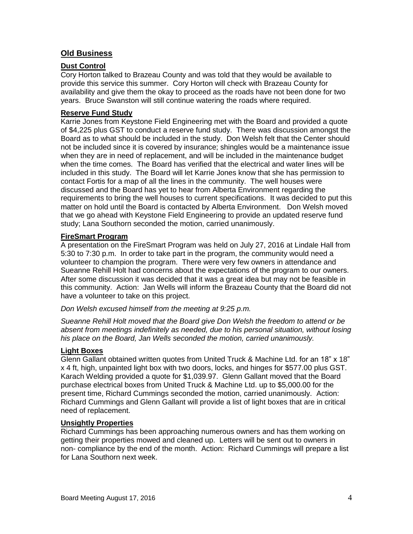# **Old Business**

# **Dust Control**

Cory Horton talked to Brazeau County and was told that they would be available to provide this service this summer. Cory Horton will check with Brazeau County for availability and give them the okay to proceed as the roads have not been done for two years. Bruce Swanston will still continue watering the roads where required.

# **Reserve Fund Study**

Karrie Jones from Keystone Field Engineering met with the Board and provided a quote of \$4,225 plus GST to conduct a reserve fund study. There was discussion amongst the Board as to what should be included in the study. Don Welsh felt that the Center should not be included since it is covered by insurance; shingles would be a maintenance issue when they are in need of replacement, and will be included in the maintenance budget when the time comes. The Board has verified that the electrical and water lines will be included in this study. The Board will let Karrie Jones know that she has permission to contact Fortis for a map of all the lines in the community. The well houses were discussed and the Board has yet to hear from Alberta Environment regarding the requirements to bring the well houses to current specifications. It was decided to put this matter on hold until the Board is contacted by Alberta Environment. Don Welsh moved that we go ahead with Keystone Field Engineering to provide an updated reserve fund study; Lana Southorn seconded the motion, carried unanimously.

# **FireSmart Program**

A presentation on the FireSmart Program was held on July 27, 2016 at Lindale Hall from 5:30 to 7:30 p.m. In order to take part in the program, the community would need a volunteer to champion the program. There were very few owners in attendance and Sueanne Rehill Holt had concerns about the expectations of the program to our owners. After some discussion it was decided that it was a great idea but may not be feasible in this community. Action: Jan Wells will inform the Brazeau County that the Board did not have a volunteer to take on this project.

*Don Welsh excused himself from the meeting at 9:25 p.m.*

*Sueanne Rehill Holt moved that the Board give Don Welsh the freedom to attend or be absent from meetings indefinitely as needed, due to his personal situation, without losing his place on the Board, Jan Wells seconded the motion, carried unanimously.*

# **Light Boxes**

Glenn Gallant obtained written quotes from United Truck & Machine Ltd. for an 18" x 18" x 4 ft, high, unpainted light box with two doors, locks, and hinges for \$577.00 plus GST. Karach Welding provided a quote for \$1,039.97. Glenn Gallant moved that the Board purchase electrical boxes from United Truck & Machine Ltd. up to \$5,000.00 for the present time, Richard Cummings seconded the motion, carried unanimously. Action: Richard Cummings and Glenn Gallant will provide a list of light boxes that are in critical need of replacement.

#### **Unsightly Properties**

Richard Cummings has been approaching numerous owners and has them working on getting their properties mowed and cleaned up. Letters will be sent out to owners in non- compliance by the end of the month. Action: Richard Cummings will prepare a list for Lana Southorn next week.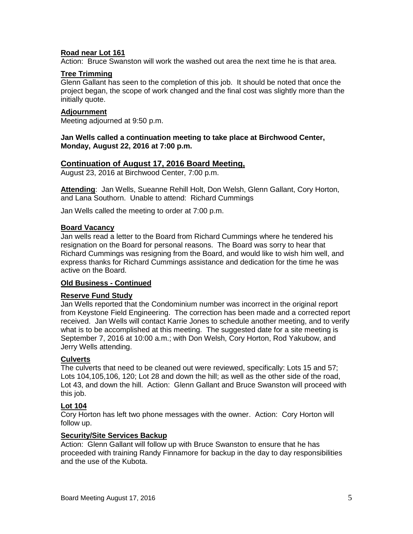# **Road near Lot 161**

Action: Bruce Swanston will work the washed out area the next time he is that area.

#### **Tree Trimming**

Glenn Gallant has seen to the completion of this job. It should be noted that once the project began, the scope of work changed and the final cost was slightly more than the initially quote.

#### **Adjournment**

Meeting adjourned at 9:50 p.m.

### **Jan Wells called a continuation meeting to take place at Birchwood Center, Monday, August 22, 2016 at 7:00 p.m.**

### **Continuation of August 17, 2016 Board Meeting,**

August 23, 2016 at Birchwood Center, 7:00 p.m.

**Attending**: Jan Wells, Sueanne Rehill Holt, Don Welsh, Glenn Gallant, Cory Horton, and Lana Southorn. Unable to attend: Richard Cummings

Jan Wells called the meeting to order at 7:00 p.m.

#### **Board Vacancy**

Jan wells read a letter to the Board from Richard Cummings where he tendered his resignation on the Board for personal reasons. The Board was sorry to hear that Richard Cummings was resigning from the Board, and would like to wish him well, and express thanks for Richard Cummings assistance and dedication for the time he was active on the Board.

#### **Old Business - Continued**

#### **Reserve Fund Study**

Jan Wells reported that the Condominium number was incorrect in the original report from Keystone Field Engineering. The correction has been made and a corrected report received. Jan Wells will contact Karrie Jones to schedule another meeting, and to verify what is to be accomplished at this meeting. The suggested date for a site meeting is September 7, 2016 at 10:00 a.m.; with Don Welsh, Cory Horton, Rod Yakubow, and Jerry Wells attending.

#### **Culverts**

The culverts that need to be cleaned out were reviewed, specifically: Lots 15 and 57; Lots 104,105,106, 120; Lot 28 and down the hill; as well as the other side of the road, Lot 43, and down the hill. Action: Glenn Gallant and Bruce Swanston will proceed with this job.

#### **Lot 104**

Cory Horton has left two phone messages with the owner. Action: Cory Horton will follow up.

#### **Security/Site Services Backup**

Action: Glenn Gallant will follow up with Bruce Swanston to ensure that he has proceeded with training Randy Finnamore for backup in the day to day responsibilities and the use of the Kubota.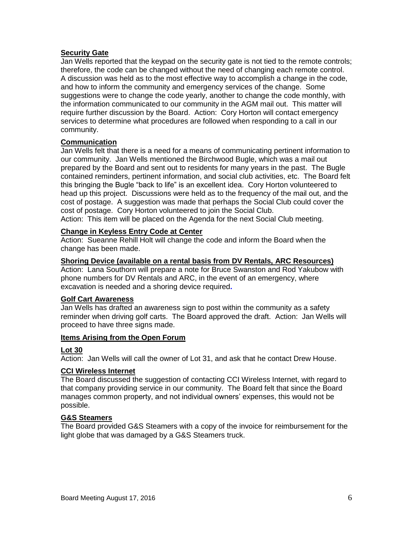## **Security Gate**

Jan Wells reported that the keypad on the security gate is not tied to the remote controls; therefore, the code can be changed without the need of changing each remote control. A discussion was held as to the most effective way to accomplish a change in the code, and how to inform the community and emergency services of the change. Some suggestions were to change the code yearly, another to change the code monthly, with the information communicated to our community in the AGM mail out. This matter will require further discussion by the Board. Action: Cory Horton will contact emergency services to determine what procedures are followed when responding to a call in our community.

### **Communication**

Jan Wells felt that there is a need for a means of communicating pertinent information to our community. Jan Wells mentioned the Birchwood Bugle, which was a mail out prepared by the Board and sent out to residents for many years in the past. The Bugle contained reminders, pertinent information, and social club activities, etc. The Board felt this bringing the Bugle "back to life" is an excellent idea. Cory Horton volunteered to head up this project. Discussions were held as to the frequency of the mail out, and the cost of postage. A suggestion was made that perhaps the Social Club could cover the cost of postage. Cory Horton volunteered to join the Social Club.

Action: This item will be placed on the Agenda for the next Social Club meeting.

# **Change in Keyless Entry Code at Center**

Action: Sueanne Rehill Holt will change the code and inform the Board when the change has been made.

### **Shoring Device (available on a rental basis from DV Rentals, ARC Resources)**

Action: Lana Southorn will prepare a note for Bruce Swanston and Rod Yakubow with phone numbers for DV Rentals and ARC, in the event of an emergency, where excavation is needed and a shoring device required**.** 

#### **Golf Cart Awareness**

Jan Wells has drafted an awareness sign to post within the community as a safety reminder when driving golf carts. The Board approved the draft. Action: Jan Wells will proceed to have three signs made.

#### **Items Arising from the Open Forum**

#### **Lot 30**

Action: Jan Wells will call the owner of Lot 31, and ask that he contact Drew House.

#### **CCI Wireless Internet**

The Board discussed the suggestion of contacting CCI Wireless Internet, with regard to that company providing service in our community. The Board felt that since the Board manages common property, and not individual owners' expenses, this would not be possible.

#### **G&S Steamers**

The Board provided G&S Steamers with a copy of the invoice for reimbursement for the light globe that was damaged by a G&S Steamers truck.